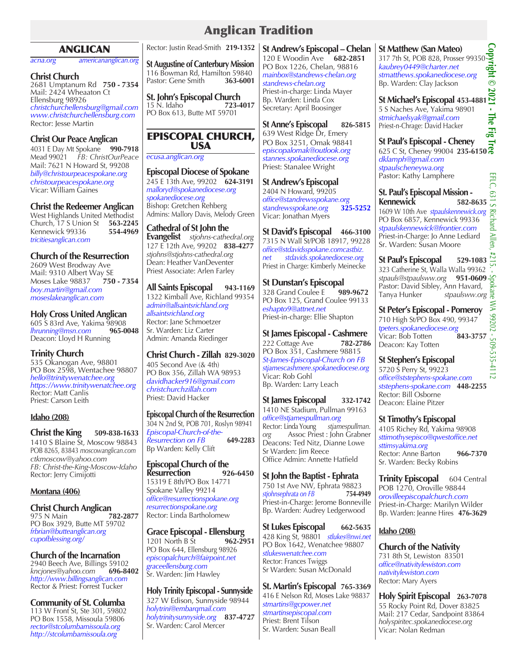# ANGLICAN

*acna.org americananglican.org*

## **Christ Church**

2681 Umptanum Rd **750 - 7354** Mail: 2424 Wheaaton Ct Ellensburg 98926 *christchurchellensburg@gmail.com www.christchurchellensburg.com* Rector: Jesse Martin

## **Christ Our Peace Anglican**

4031 E Day Mt Spokane **990-7918** Mead 99021 *FB: ChristOurPeace* Mail: 7621 N Howard St, 99208 *billy@christourpeacespokane.org christourpeacespokane.org* Vicar: William Gaines

**Christ the Redeemer Anglican**  West Highlands United Methodist Church, 17 S Union St **563-2245** Kennewick 99336 *tricitiesanglican.com*

# **Church of the Resurrection**

2609 West Brodway Ave Mail: 9310 Albert Way SE **Moses Lake 98837** *boy.martin@gmail.com moseslakeanglican.com*

## **Holy Cross United Anglican**

605 S 83rd Ave, Yakima 98908<br>*Ihrunning@msn.com* 965-0048 *lhrunning@msn.com* **965-0048** Deacon: Lloyd H Running

# **Trinity Church**

535 Okanogan Ave, 98801 PO Box 2598, Wentachee 98807 *hello@trinitywenatchee.org https://www.trinitywenatchee.org* Rector: Matt Canlis Priest: Carson Leith

## **Idaho (208)**

**Christ the King 509-838-1633** 1410 S Blaine St, Moscow 98843 POB 8265, 83843 *moscowanglican.com ctkmoscow@yahoo.com FB: Christ-the-King-Moscow-Idaho* Rector: Jerry Cimijotti

## **Montana (406)**

**Christ Church Anglican**<br>975 N Main **782-2877** 975 N Main **782-2877** PO Box 3929, Butte MT 59702 *frbrian@butteanglican.org cupofblessing.org/*

## **Church of the Incarnation**

2940 Beech Ave, Billings 59102<br>kncjones@yahoo.com 696-8402 *kncjones@yahoo.com* **696-8402** *http://www.billingsanglican.com* Rector & Priest: Forrest Tucker

**Community of St. Columba** 113 W Front St, Ste 301, 59802 PO Box 1558, Missoula 59806 *rector@stcolumbamissoula.org http://stcolumbamissoula.org*

Rector: Justin Read-Smith **219-1352**

**St Augustine of Canterbury Mission** 116 Bowman Rd, Hamilton 59840<br>Pastor: Gene Smith 363-6001 Pastor: Gene Smith

**St. John's Episcopal Church**<br>15 N. Idaho<br>**723-4017** 15 N. Idaho<sup>-</sup> PO Box 613, Butte MT 59701

# EPISCOPAL CHURCH, USA

*ecusa.anglican.org* 

**Episcopal Diocese of Spokane** 245 E 13th Ave, 99202 **624-3191** *malloryd@spokanediocese.org spokanediocese.org* Bishop: Gretchen Rehberg Admins: Mallory Davis, Melody Green

**Cathedral of St John the Evangelist** *stjohns-cathedral.org* 127 E 12th Ave, 99202 **838-4277** *stjohns@stjohns-cathedral.org* Dean: Heather VanDeventer Priest Associate: Arlen Farley

**All Saints Episcopal 943-1169** 1322 Kimball Ave, Richland 99354 *admin@allsaintsrichland.org allsaintsrichland.org* Rector: Jane Schmoetzer Sr. Warden: Liz Carter Admin: Amanda Riedinger

**Christ Church - Zillah 829-3020** 405 Second Ave (& 4th) PO Box 356, Zillah WA 98953 *davidhacker916@gmail.com christchurchzillah.com* Priest: David Hacker

**Episcopal Church of the Resurrection** 304 N 2nd St, POB 701, Roslyn 98941 *Episcopal-Church-of-the-Resurrection on FB* **649-2283** Bp Warden: Kelly Clift

#### **Episcopal Church of the Resurrection 926-6450** 15319 E 8th/PO Box 14771 Spokane Valley 99214 *office@resurrectionspokane.org resurrectionspokane.org* Rector: Linda Bartholomew

**Grace Episcopal - Ellensburg** 1201 North B St **962-2951**  PO Box 644, Ellensburg 98926 *episcopalchurch@fairpoint.net graceellensburg.com* Sr. Warden: Jim Hawley

**Holy Trinity Episcopal - Sunnyside** 327 W Edison, Sunnyside 98944 *holytrini@embarqmail.com holytrinitysunnyside.org* **837-4727** Sr. Warden: Carol Mercer

**St Andrew's Episcopal – Chelan** 120 E Woodin Ave **682-2851** PO Box 1226, Chelan, 98816 *mainbox@standrews-chelan.org standrews-chelan.org* Priest-in-charge: Linda Mayer Bp. Warden: Linda Cox Secretary: April Boosinger

**St Anne's Episcopal 826-5815** 639 West Ridge Dr, Emery PO Box 3251, Omak 98841 *episcopalomak@outlook.org stannes.spokanediocese.org* Priest: Stanalee Wright

**St Andrew's Episcopal** 2404 N Howard, 99205 *office@standrewsspokane.org standrewsspokane.org* **325-5252** Vicar: Jonathan Myers

**St David's Episcopal 466-3100** 7315 N Wall St/POB 18917, 99228 *office@stdavidsspokane.comcastbiz. net stdavids.spokanediocese.org* Priest in Charge: Kimberly Meinecke

**St Dunstan's Episcopal** 328 Grand Coulee E **989-9672** PO Box 125, Grand Coulee 99133 *eshapto9@attnet.net* Priest-in-charge: Ellie Shapton

**St James Episcopal - Cashmere** 222 Cottage Ave **782-2786** PO Box 351, Cashmere 98815 *St-James-Episcopal-Church on FB stjamescashmere.spokanediocese.org* Vicar: Rob Gohl Bp. Warden: Larry Leach

**St James Episcopal 332-1742** 1410 NE Stadium*,* Pullman 99163 *office@stjamespullman.org* Rector: Linda Young *stjamespullman. org* Assoc Priest : John Grabner Deacons: Ted Nitz, Dianne Lowe Sr Warden: Jim Reece Office Admin: Annette Hatfield

**St John the Baptist - Ephrata** 750 1st Ave NW, Ephrata 98823<br>stjohnsephrata on FB 754-4949 *stjohnsephrata on FB* Priest-in-Charge: Jerome Bonneville Bp. Warden: Audrey Ledgerwood

**St Lukes Episcopal 662-5635** 428 King St, 98801 *stlukes@nwi.net*  PO Box 1642, Wenatchee 98807 *stlukeswenatchee.com* Rector: Frances Twiggs Sr Warden: Susan McDonald

**St. Martin's Episcopal 765-3369** 416 E Nelson Rd, Moses Lake 98837 *stmartins@gcpower.net stmartinsepiscopal.com* Priest: Brent Tilson Sr. Warden: Susan Beall

**St Matthew (San Mateo)**

**St Matthew (San Mateo)**<br>317 7th St, POB 828, Prosser 99350<br>kaubrey0449@charter.net<br>stmatthews.spokanediocese.org<br>Bp. Warden: Clay Jackson<br>**St Michael's Episcopal 453-4881**<br>5 S Naches Ave, Yakima 98901 *kaubrey0449@charter.net stmatthews.spokanediocese.org* Bp. Warden: Clay Jackson

**St Michael's Episcopal 453-4881**

5 S Naches Ave, Yakima 98901 *stmichaelsyak@gmail.com* Priest-n-Chrage: David Hacker

**St Paul's Episcopal - Cheney** 625 C St, Cheney 99004 **235-6150** *dklamph@gmail.com stpaulscheneywa.org* Pastor: Kathy Lamphere

**St. Paul's Episcopal Mission - Kennewick 582-8635** 1609 W 10th Ave *stpaulskennewick.org* PO Box 6857, Kennewick 99336 *stpaulskennewick@frontier.com* Priest-in-Charge: Jo Anne Lediard Sr. Warden: Susan Moore

**St Paul's Episcopal 529-1083** 323 Catherine St, Walla Walla 99362 *stpauls@stpaulsww.org* **951-0609** Pastor: David Sibley, Ann Havard, Tanya Hunker *stpaulsww.org*

**St Peter's Episcopal - Pomeroy** 710 High St/PO Box 490, 99347 *tpeters.spokanediocese.org* Vicar: Bob Totten **843-3757** Deacon: Kay Totten

**St Stephen's Episcopal** 5720 S Perry St, 99223 *office@ststephens-spokane.com ststephens-spokane.com* **448-2255** Rector: Bill Osborne Deacon: Elaine Pitzer

**St Timothy's Episcopal** 4105 Richey Rd, Yakima 98908 *sttimothysepisco@qwestoffice.net sttimsyakima.org* Rector: Anne Barton **966-7370** Sr. Warden: Becky Robins

**Trinity Episcopal** 604 Central POB 1270, Oroville 98844 *orovilleepiscopalchurch.com* Priest-in-Charge: Marilyn Wilder Bp. Warden: Jeanne Hires **476-3629**

# **Idaho (208)**

**Church of the Nativity**  731 8th St, Lewiston 83501 *office@nativitylewiston.com nativitylewiston.com* Rector: Mary Ayers

**Holy Spirit Episcopal 263-7078** 55 Rocky Point Rd, Dover 83825 Mail: 217 Cedar, Sandpoint 83864 *holyspiritec.spokanediocese.org* Vicar: Nolan Redman